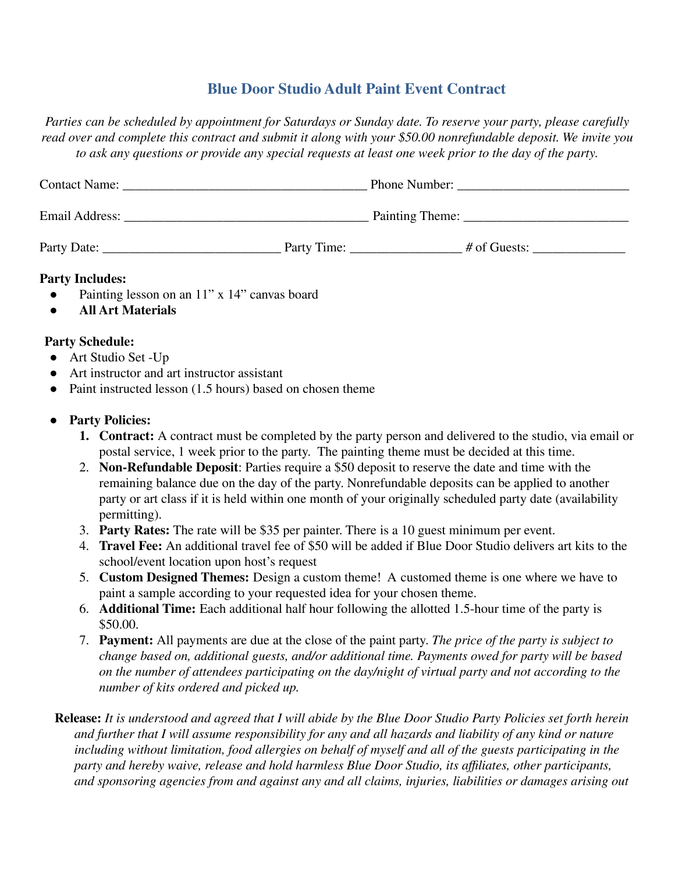## **Blue Door Studio Adult Paint Event Contract**

*Parties can be scheduled by appointment for Saturdays or Sunday date. To reserve your party, please carefully read over and complete this contract and submit it along with your \$50.00 nonrefundable deposit. We invite you* to ask any questions or provide any special requests at least one week prior to the day of the party.

| <b>Contact Name:</b> |             | Phone Number:   |  |
|----------------------|-------------|-----------------|--|
| Email Address:       |             |                 |  |
| Party Date:          | Party Time: | $\#$ of Guests: |  |

## **Party Includes:**

- Painting lesson on an 11" x 14" canvas board
- **All Art Materials**

## **Party Schedule:**

- Art Studio Set -Up
- Art instructor and art instructor assistant
- Paint instructed lesson (1.5 hours) based on chosen theme

## **● Party Policies:**

- **1. Contract:** A contract must be completed by the party person and delivered to the studio, via email or postal service, 1 week prior to the party. The painting theme must be decided at this time.
- 2. **Non-Refundable Deposit**: Parties require a \$50 deposit to reserve the date and time with the remaining balance due on the day of the party. Nonrefundable deposits can be applied to another party or art class if it is held within one month of your originally scheduled party date (availability permitting).
- 3. **Party Rates:** The rate will be \$35 per painter. There is a 10 guest minimum per event.
- 4. **Travel Fee:** An additional travel fee of \$50 will be added if Blue Door Studio delivers art kits to the school/event location upon host's request
- 5. **Custom Designed Themes:** Design a custom theme! A customed theme is one where we have to paint a sample according to your requested idea for your chosen theme.
- 6. **Additional Time:** Each additional half hour following the allotted 1.5-hour time of the party is \$50.00.
- 7. **Payment:** All payments are due at the close of the paint party. *The price of the party is subject to change based on, additional guests, and/or additional time. Payments owed for party will be based on the number of attendees participating on the day/night of virtual party and not according to the number of kits ordered and picked up.*
- **Release:** It is understood and agreed that I will abide by the Blue Door Studio Party Policies set forth herein *and further that I will assume responsibility for any and all hazards and liability of any kind or nature including without limitation, food allergies on behalf of myself and all of the guests participating in the party and hereby waive, release and hold harmless Blue Door Studio, its affiliates, other participants, and sponsoring agencies from and against any and all claims, injuries, liabilities or damages arising out*